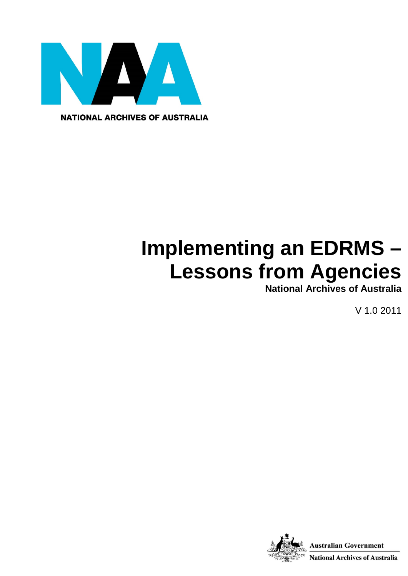

**NATIONAL ARCHIVES OF AUSTRALIA** 

# **Implementing an EDRMS – Lessons from Agencies**

**National Archives of Australia**

V 1.0 2011

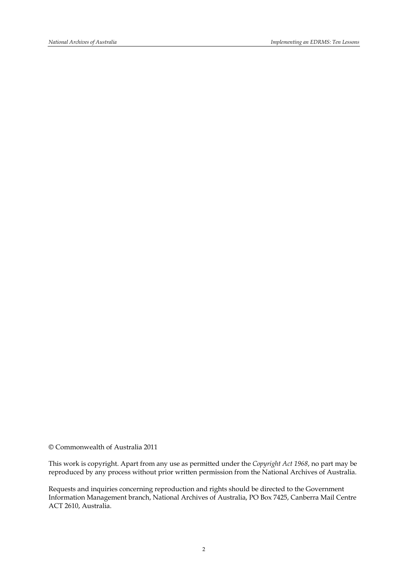© Commonwealth of Australia 2011

This work is copyright. Apart from any use as permitted under the *Copyright Act 1968*, no part may be reproduced by any process without prior written permission from the National Archives of Australia.

Requests and inquiries concerning reproduction and rights should be directed to the Government Information Management branch, National Archives of Australia, PO Box 7425, Canberra Mail Centre ACT 2610, Australia.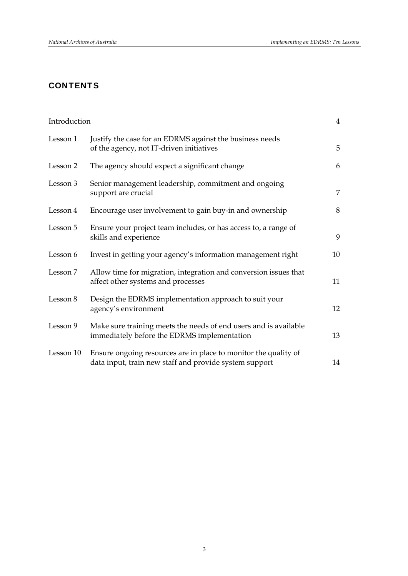#### **CONTENTS**

| Introduction |                                                                                                                           | $\overline{4}$ |
|--------------|---------------------------------------------------------------------------------------------------------------------------|----------------|
| Lesson 1     | Justify the case for an EDRMS against the business needs<br>of the agency, not IT-driven initiatives                      | 5              |
| Lesson 2     | The agency should expect a significant change                                                                             | 6              |
| Lesson 3     | Senior management leadership, commitment and ongoing<br>support are crucial                                               | 7              |
| Lesson 4     | Encourage user involvement to gain buy-in and ownership                                                                   | 8              |
| Lesson 5     | Ensure your project team includes, or has access to, a range of<br>skills and experience                                  | 9              |
| Lesson 6     | Invest in getting your agency's information management right                                                              | 10             |
| Lesson 7     | Allow time for migration, integration and conversion issues that<br>affect other systems and processes                    | 11             |
| Lesson 8     | Design the EDRMS implementation approach to suit your<br>agency's environment                                             | 12             |
| Lesson 9     | Make sure training meets the needs of end users and is available<br>immediately before the EDRMS implementation           | 13             |
| Lesson 10    | Ensure ongoing resources are in place to monitor the quality of<br>data input, train new staff and provide system support | 14             |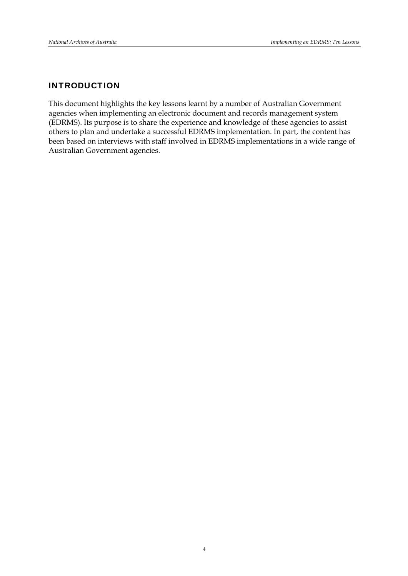#### INTRODUCTION

This document highlights the key lessons learnt by a number of Australian Government agencies when implementing an electronic document and records management system (EDRMS). Its purpose is to share the experience and knowledge of these agencies to assist others to plan and undertake a successful EDRMS implementation. In part, the content has been based on interviews with staff involved in EDRMS implementations in a wide range of Australian Government agencies.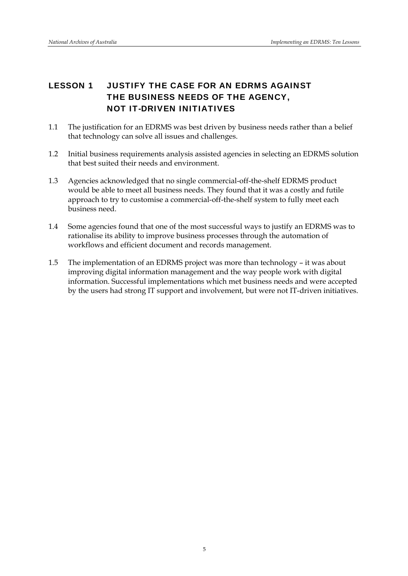# LESSON 1 JUSTIFY THE CASE FOR AN EDRMS AGAINST THE BUSINESS NEEDS OF THE AGENCY, NOT IT-DRIVEN INITIATIVES

- 1.1 The justification for an EDRMS was best driven by business needs rather than a belief that technology can solve all issues and challenges.
- 1.2 Initial business requirements analysis assisted agencies in selecting an EDRMS solution that best suited their needs and environment.
- 1.3 Agencies acknowledged that no single commercial-off-the-shelf EDRMS product would be able to meet all business needs. They found that it was a costly and futile approach to try to customise a commercial-off-the-shelf system to fully meet each business need.
- 1.4 Some agencies found that one of the most successful ways to justify an EDRMS was to rationalise its ability to improve business processes through the automation of workflows and efficient document and records management.
- 1.5 The implementation of an EDRMS project was more than technology it was about improving digital information management and the way people work with digital information. Successful implementations which met business needs and were accepted by the users had strong IT support and involvement, but were not IT-driven initiatives.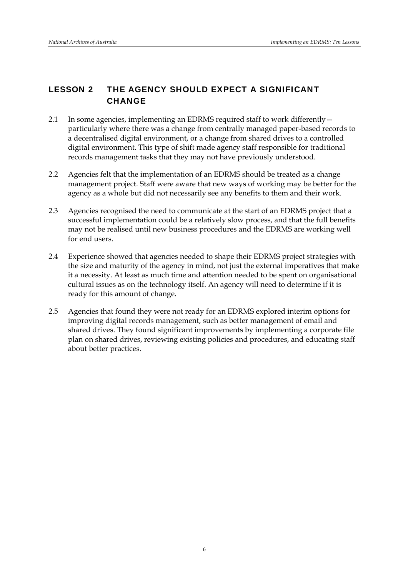# LESSON 2 THE AGENCY SHOULD EXPECT A SIGNIFICANT **CHANGE**

- 2.1 In some agencies, implementing an EDRMS required staff to work differently particularly where there was a change from centrally managed paper-based records to a decentralised digital environment, or a change from shared drives to a controlled digital environment. This type of shift made agency staff responsible for traditional records management tasks that they may not have previously understood.
- 2.2 Agencies felt that the implementation of an EDRMS should be treated as a change management project. Staff were aware that new ways of working may be better for the agency as a whole but did not necessarily see any benefits to them and their work.
- 2.3 Agencies recognised the need to communicate at the start of an EDRMS project that a successful implementation could be a relatively slow process, and that the full benefits may not be realised until new business procedures and the EDRMS are working well for end users.
- 2.4 Experience showed that agencies needed to shape their EDRMS project strategies with the size and maturity of the agency in mind, not just the external imperatives that make it a necessity. At least as much time and attention needed to be spent on organisational cultural issues as on the technology itself. An agency will need to determine if it is ready for this amount of change.
- 2.5 Agencies that found they were not ready for an EDRMS explored interim options for improving digital records management, such as better management of email and shared drives. They found significant improvements by implementing a corporate file plan on shared drives, reviewing existing policies and procedures, and educating staff about better practices.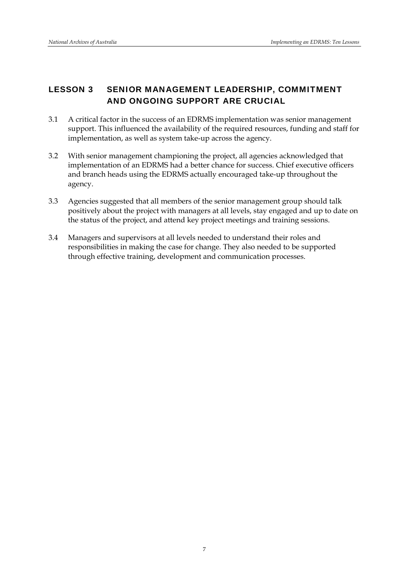#### LESSON 3 SENIOR MANAGEMENT LEADERSHIP, COMMITMENT AND ONGOING SUPPORT ARE CRUCIAL

- 3.1 A critical factor in the success of an EDRMS implementation was senior management support. This influenced the availability of the required resources, funding and staff for implementation, as well as system take-up across the agency.
- 3.2 With senior management championing the project, all agencies acknowledged that implementation of an EDRMS had a better chance for success. Chief executive officers and branch heads using the EDRMS actually encouraged take-up throughout the agency.
- 3.3 Agencies suggested that all members of the senior management group should talk positively about the project with managers at all levels, stay engaged and up to date on the status of the project, and attend key project meetings and training sessions.
- 3.4 Managers and supervisors at all levels needed to understand their roles and responsibilities in making the case for change. They also needed to be supported through effective training, development and communication processes.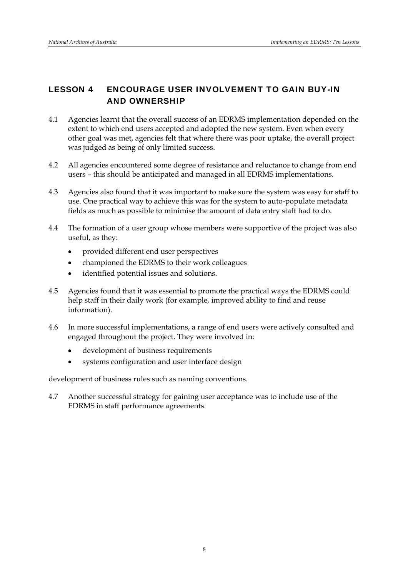#### LESSON 4 ENCOURAGE USER INVOLVEMENT TO GAIN BUY-IN AND OWNERSHIP

- 4.1 Agencies learnt that the overall success of an EDRMS implementation depended on the extent to which end users accepted and adopted the new system. Even when every other goal was met, agencies felt that where there was poor uptake, the overall project was judged as being of only limited success.
- 4.2 All agencies encountered some degree of resistance and reluctance to change from end users – this should be anticipated and managed in all EDRMS implementations.
- 4.3 Agencies also found that it was important to make sure the system was easy for staff to use. One practical way to achieve this was for the system to auto-populate metadata fields as much as possible to minimise the amount of data entry staff had to do.
- 4.4 The formation of a user group whose members were supportive of the project was also useful, as they:
	- provided different end user perspectives
	- championed the EDRMS to their work colleagues
	- identified potential issues and solutions.
- 4.5 Agencies found that it was essential to promote the practical ways the EDRMS could help staff in their daily work (for example, improved ability to find and reuse information).
- 4.6 In more successful implementations, a range of end users were actively consulted and engaged throughout the project. They were involved in:
	- development of business requirements
	- systems configuration and user interface design

development of business rules such as naming conventions.

4.7 Another successful strategy for gaining user acceptance was to include use of the EDRMS in staff performance agreements.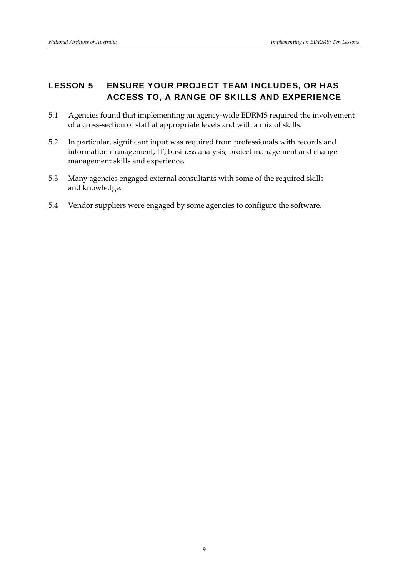# LESSON 5 ENSURE YOUR PROJECT TEAM INCLUDES, OR HAS ACCESS TO, A RANGE OF SKILLS AND EXPERIENCE

- 5.1 Agencies found that implementing an agency-wide EDRMS required the involvement of a cross-section of staff at appropriate levels and with a mix of skills.
- 5.2 In particular, significant input was required from professionals with records and information management, IT, business analysis, project management and change management skills and experience.
- 5.3 Many agencies engaged external consultants with some of the required skills and knowledge.
- 5.4 Vendor suppliers were engaged by some agencies to configure the software.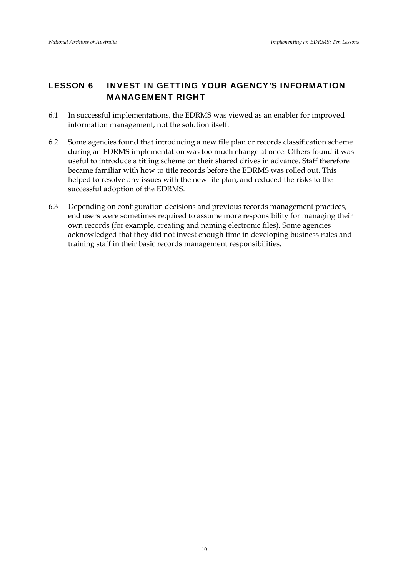#### LESSON 6 INVEST IN GETTING YOUR AGENCY'S INFORMATION MANAGEMENT RIGHT

- 6.1 In successful implementations, the EDRMS was viewed as an enabler for improved information management, not the solution itself.
- 6.2 Some agencies found that introducing a new file plan or records classification scheme during an EDRMS implementation was too much change at once. Others found it was useful to introduce a titling scheme on their shared drives in advance. Staff therefore became familiar with how to title records before the EDRMS was rolled out. This helped to resolve any issues with the new file plan, and reduced the risks to the successful adoption of the EDRMS.
- 6.3 Depending on configuration decisions and previous records management practices, end users were sometimes required to assume more responsibility for managing their own records (for example, creating and naming electronic files). Some agencies acknowledged that they did not invest enough time in developing business rules and training staff in their basic records management responsibilities.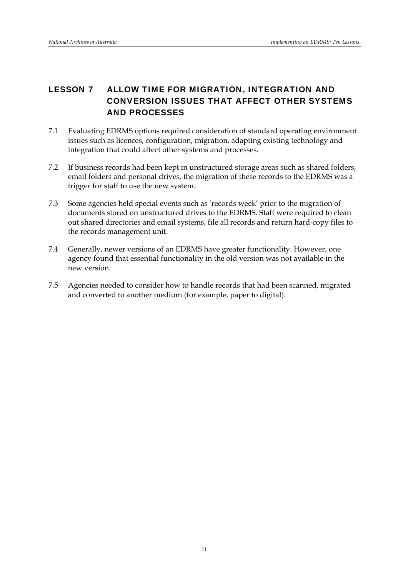# LESSON 7 ALLOW TIME FOR MIGRATION, INTEGRATION AND CONVERSION ISSUES THAT AFFECT OTHER SYSTEMS AND PROCESSES

- 7.1 Evaluating EDRMS options required consideration of standard operating environment issues such as licences, configuration, migration, adapting existing technology and integration that could affect other systems and processes.
- 7.2 If business records had been kept in unstructured storage areas such as shared folders, email folders and personal drives, the migration of these records to the EDRMS was a trigger for staff to use the new system.
- 7.3 Some agencies held special events such as 'records week' prior to the migration of documents stored on unstructured drives to the EDRMS. Staff were required to clean out shared directories and email systems, file all records and return hard-copy files to the records management unit.
- 7.4 Generally, newer versions of an EDRMS have greater functionality. However, one agency found that essential functionality in the old version was not available in the new version.
- 7.5 Agencies needed to consider how to handle records that had been scanned, migrated and converted to another medium (for example, paper to digital).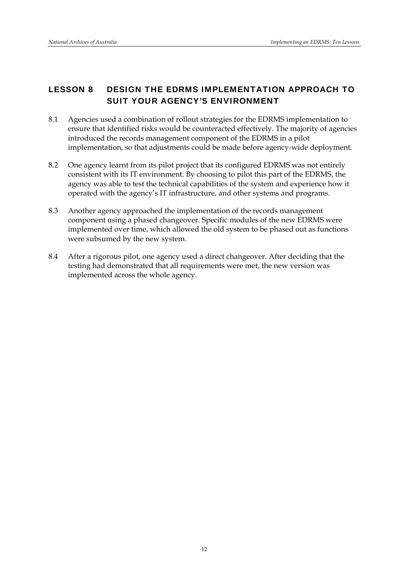#### LESSON 8 DESIGN THE EDRMS IMPLEMENTATION APPROACH TO SUIT YOUR AGENCY'S ENVIRONMENT

- 8.1 Agencies used a combination of rollout strategies for the EDRMS implementation to ensure that identified risks would be counteracted effectively. The majority of agencies introduced the records management component of the EDRMS in a pilot implementation, so that adjustments could be made before agency-wide deployment.
- 8.2 One agency learnt from its pilot project that its configured EDRMS was not entirely consistent with its IT environment. By choosing to pilot this part of the EDRMS, the agency was able to test the technical capabilities of the system and experience how it operated with the agency's IT infrastructure, and other systems and programs.
- 8.3 Another agency approached the implementation of the records management component using a phased changeover. Specific modules of the new EDRMS were implemented over time, which allowed the old system to be phased out as functions were subsumed by the new system.
- 8.4 After a rigorous pilot, one agency used a direct changeover. After deciding that the testing had demonstrated that all requirements were met, the new version was implemented across the whole agency.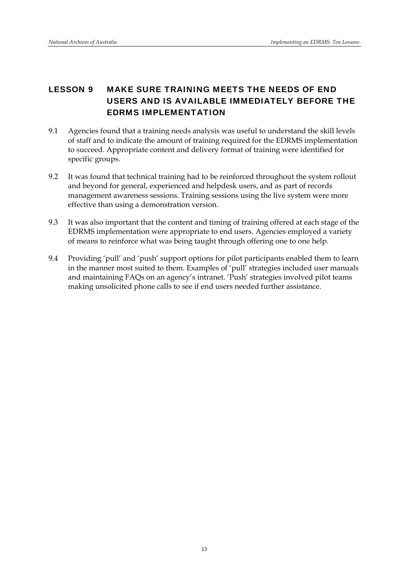# LESSON 9 MAKE SURE TRAINING MEETS THE NEEDS OF END USERS AND IS AVAILABLE IMMEDIATELY BEFORE THE EDRMS IMPLEMENTATION

- 9.1 Agencies found that a training needs analysis was useful to understand the skill levels of staff and to indicate the amount of training required for the EDRMS implementation to succeed. Appropriate content and delivery format of training were identified for specific groups.
- 9.2 It was found that technical training had to be reinforced throughout the system rollout and beyond for general, experienced and helpdesk users, and as part of records management awareness sessions. Training sessions using the live system were more effective than using a demonstration version.
- 9.3 It was also important that the content and timing of training offered at each stage of the EDRMS implementation were appropriate to end users. Agencies employed a variety of means to reinforce what was being taught through offering one to one help.
- 9.4 Providing 'pull' and 'push' support options for pilot participants enabled them to learn in the manner most suited to them. Examples of 'pull' strategies included user manuals and maintaining FAQs on an agency's intranet. 'Push' strategies involved pilot teams making unsolicited phone calls to see if end users needed further assistance.